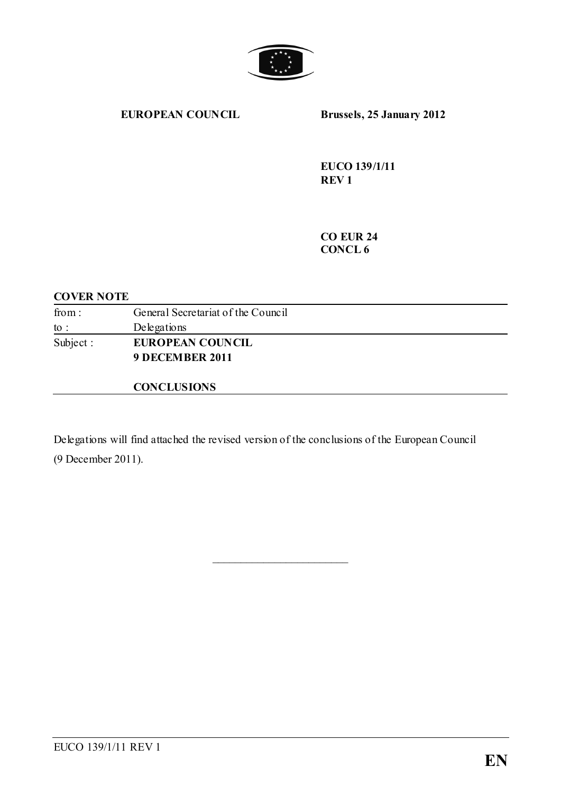

#### **EUROPEAN COUNCIL Brussels, 25 January 2012**

**EUCO 139/1/11 REV 1**

**CO EUR 24 CONCL 6**

### **COVER NOTE**

| from:           | General Secretariat of the Council |
|-----------------|------------------------------------|
| $\mathrm{to}$ : | Delegations                        |
| Subject :       | <b>EUROPEAN COUNCIL</b>            |
|                 | 9 DECEMBER 2011                    |
|                 |                                    |

### **CONCLUSIONS**

Delegations will find attached the revised version of the conclusions of the European Council (9 December 2011).

\_\_\_\_\_\_\_\_\_\_\_\_\_\_\_\_\_\_\_\_\_\_\_\_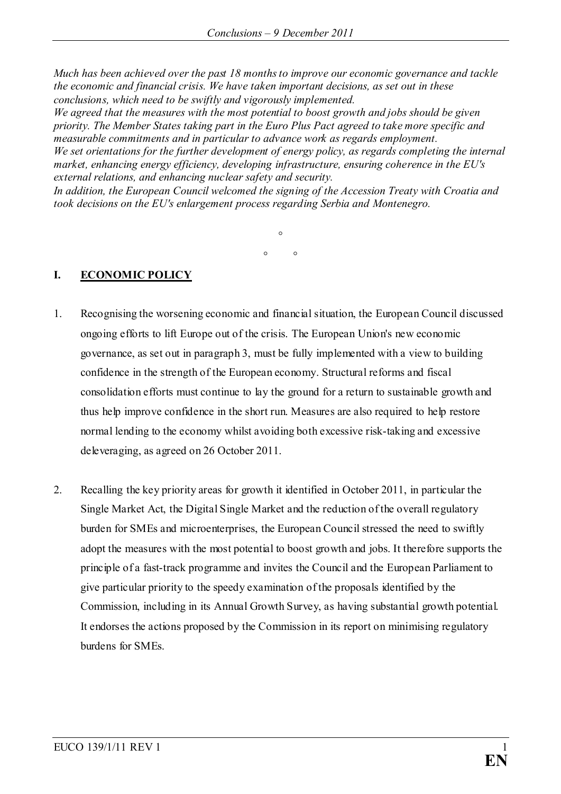*Much has been achieved over the past 18 months to improve our economic governance and tackle the economic and financial crisis. We have taken important decisions, as set out in these conclusions, which need to be swiftly and vigorously implemented.* 

*We agreed that the measures with the most potential to boost growth and jobs should be given priority. The Member States taking part in the Euro Plus Pact agreed to take more specific and measurable commitments and in particular to advance work as regards employment. We set orientations for the further development of energy policy, as regards completing the internal market, enhancing energy efficiency, developing infrastructure, ensuring coherence in the EU's external relations, and enhancing nuclear safety and security.*

*In addition, the European Council welcomed the signing of the Accession Treaty with Croatia and took decisions on the EU's enlargement process regarding Serbia and Montenegro.* 

> $\circ$  $\circ$   $\circ$

### **I. ECONOMIC POLICY**

- 1. Recognising the worsening economic and financial situation, the European Council discussed ongoing efforts to lift Europe out of the crisis. The European Union's new economic governance, as set out in paragraph 3, must be fully implemented with a view to building confidence in the strength of the European economy. Structural reforms and fiscal consolidation efforts must continue to lay the ground for a return to sustainable growth and thus help improve confidence in the short run. Measures are also required to help restore normal lending to the economy whilst avoiding both excessive risk-taking and excessive deleveraging, as agreed on 26 October 2011.
- 2. Recalling the key priority areas for growth it identified in October 2011, in particular the Single Market Act, the Digital Single Market and the reduction of the overall regulatory burden for SMEs and microenterprises, the European Council stressed the need to swiftly adopt the measures with the most potential to boost growth and jobs. It therefore supports the principle of a fast-track programme and invites the Council and the European Parliament to give particular priority to the speedy examination of the proposals identified by the Commission, including in its Annual Growth Survey, as having substantial growth potential. It endorses the actions proposed by the Commission in its report on minimising regulatory burdens for SMEs.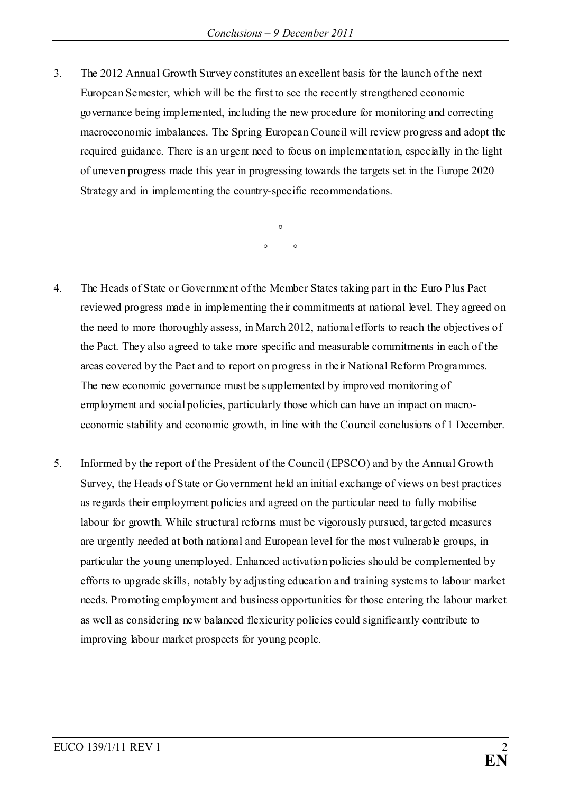3. The 2012 Annual Growth Survey constitutes an excellent basis for the launch of the next European Semester, which will be the first to see the recently strengthened economic governance being implemented, including the new procedure for monitoring and correcting macroeconomic imbalances. The Spring European Council will review progress and adopt the required guidance. There is an urgent need to focus on implementation, especially in the light of uneven progress made this year in progressing towards the targets set in the Europe 2020 Strategy and in implementing the country-specific recommendations.

> $\circ$  $\circ$   $\circ$

- 4. The Heads of State or Government of the Member States taking part in the Euro Plus Pact reviewed progress made in implementing their commitments at national level. They agreed on the need to more thoroughly assess, in March 2012, national efforts to reach the objectives of the Pact. They also agreed to take more specific and measurable commitments in each of the areas covered by the Pact and to report on progress in their National Reform Programmes. The new economic governance must be supplemented by improved monitoring of employment and social policies, particularly those which can have an impact on macroeconomic stability and economic growth, in line with the Council conclusions of 1 December.
- 5. Informed by the report of the President of the Council (EPSCO) and by the Annual Growth Survey, the Heads of State or Government held an initial exchange of views on best practices as regards their employment policies and agreed on the particular need to fully mobilise labour for growth. While structural reforms must be vigorously pursued, targeted measures are urgently needed at both national and European level for the most vulnerable groups, in particular the young unemployed. Enhanced activation policies should be complemented by efforts to upgrade skills, notably by adjusting education and training systems to labour market needs. Promoting employment and business opportunities for those entering the labour market as well as considering new balanced flexicurity policies could significantly contribute to improving labour market prospects for young people.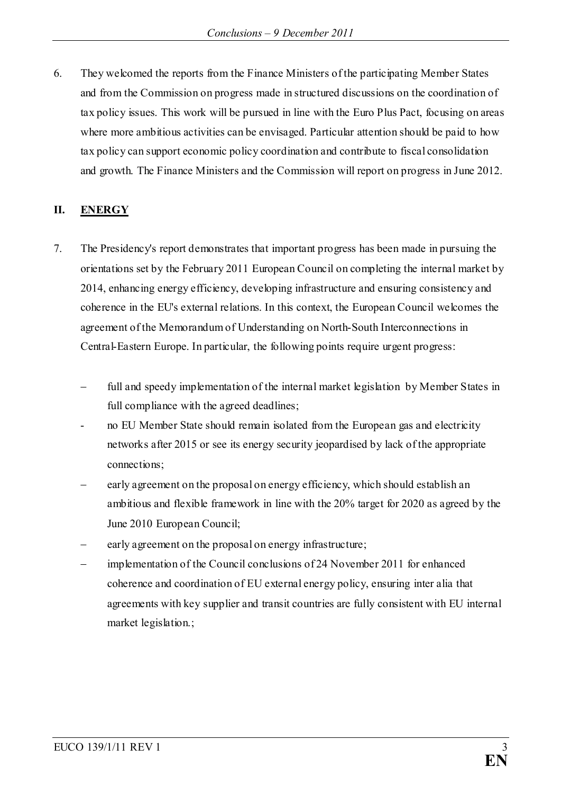6. They welcomed the reports from the Finance Ministers of the participating Member States and from the Commission on progress made in structured discussions on the coordination of tax policy issues. This work will be pursued in line with the Euro Plus Pact, focusing on areas where more ambitious activities can be envisaged. Particular attention should be paid to how tax policy can support economic policy coordination and contribute to fiscal consolidation and growth. The Finance Ministers and the Commission will report on progress in June 2012.

### **II. ENERGY**

- 7. The Presidency's report demonstrates that important progress has been made in pursuing the orientations set by the February 2011 European Council on completing the internal market by 2014, enhancing energy efficiency, developing infrastructure and ensuring consistency and coherence in the EU's external relations. In this context, the European Council welcomes the agreement of the Memorandum of Understanding on North-South Interconnections in Central-Eastern Europe. In particular, the following points require urgent progress:
	- full and speedy implementation of the internal market legislation by Member States in full compliance with the agreed deadlines;
	- no EU Member State should remain isolated from the European gas and electricity networks after 2015 or see its energy security jeopardised by lack of the appropriate connections;
	- early agreement on the proposal on energy efficiency, which should establish an ambitious and flexible framework in line with the 20% target for 2020 as agreed by the June 2010 European Council;
	- early agreement on the proposal on energy infrastructure;
	- $implementation of the Council conclusions of 24 November 2011 for enhanced$ coherence and coordination of EU external energy policy, ensuring inter alia that agreements with key supplier and transit countries are fully consistent with EU internal market legislation.;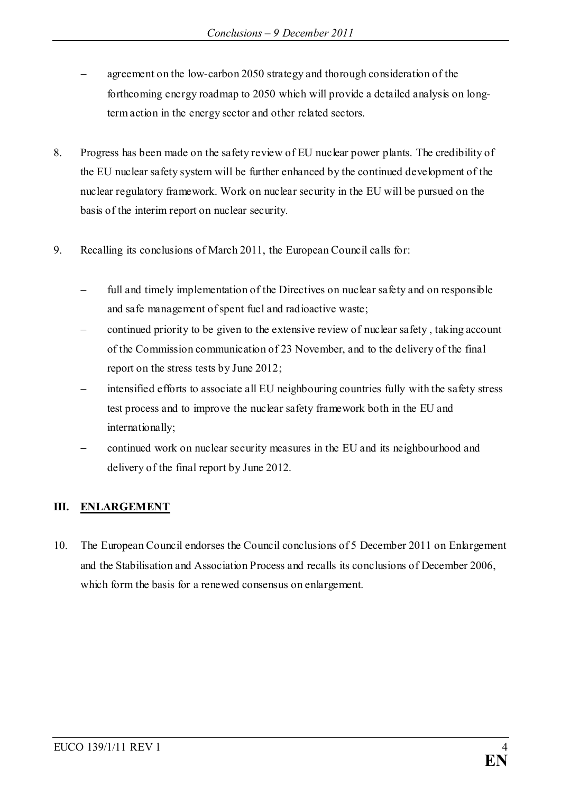- agreement on the low-carbon 2050 strategy and thorough consideration of the forthcoming energy roadmap to 2050 which will provide a detailed analysis on longterm action in the energy sector and other related sectors.
- 8. Progress has been made on the safety review of EU nuclear power plants. The credibility of the EU nuclear safety system will be further enhanced by the continued development of the nuclear regulatory framework. Work on nuclear security in the EU will be pursued on the basis of the interim report on nuclear security.
- 9. Recalling its conclusions of March 2011, the European Council calls for:
	- full and timely implementation of the Directives on nuclear safety and on responsible and safe management of spent fuel and radioactive waste;
	- − continued priority to be given to the extensive review of nuclear safety , taking account of the Commission communication of 23 November, and to the delivery of the final report on the stress tests by June 2012;
	- − intensified efforts to associate all EU neighbouring countries fully with the safety stress test process and to improve the nuclear safety framework both in the EU and internationally;
	- − continued work on nuclear security measures in the EU and its neighbourhood and delivery of the final report by June 2012.

# **III. ENLARGEMENT**

10. The European Council endorses the Council conclusions of 5 December 2011 on Enlargement and the Stabilisation and Association Process and recalls its conclusions of December 2006, which form the basis for a renewed consensus on enlargement.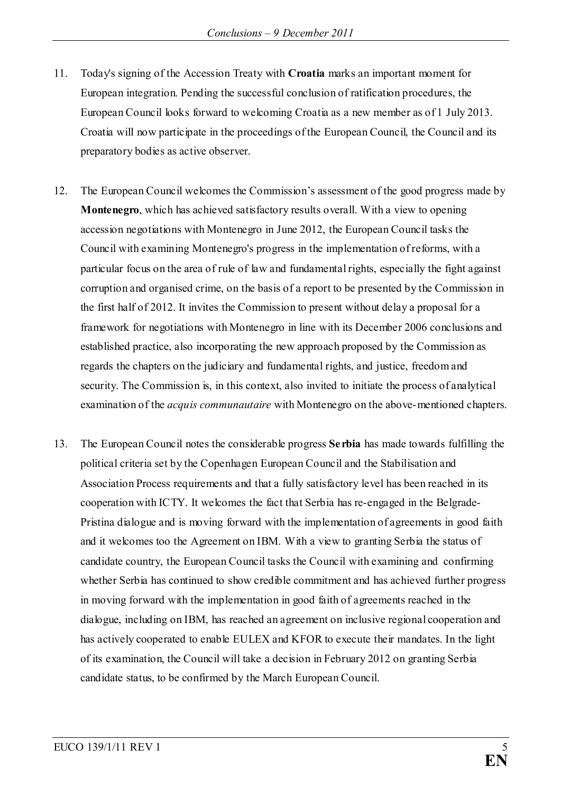- 11. Today's signing of the Accession Treaty with **Croatia** marks an important moment for European integration. Pending the successful conclusion of ratification procedures, the European Council looks forward to welcoming Croatia as a new member as of 1 July 2013. Croatia will now participate in the proceedings of the European Council, the Council and its preparatory bodies as active observer.
- 12. The European Council welcomes the Commission's assessment of the good progress made by **Montenegro**, which has achieved satisfactory results overall. With a view to opening accession negotiations with Montenegro in June 2012, the European Council tasks the Council with examining Montenegro's progress in the implementation of reforms, with a particular focus on the area of rule of law and fundamental rights, especially the fight against corruption and organised crime, on the basis of a report to be presented by the Commission in the first half of 2012. It invites the Commission to present without delay a proposal for a framework for negotiations with Montenegro in line with its December 2006 conclusions and established practice, also incorporating the new approach proposed by the Commission as regards the chapters on the judiciary and fundamental rights, and justice, freedom and security. The Commission is, in this context, also invited to initiate the process of analytical examination of the *acquis communautaire* with Montenegro on the above-mentioned chapters.
- 13. The European Council notes the considerable progress **Serbia** has made towards fulfilling the political criteria set by the Copenhagen European Council and the Stabilisation and Association Process requirements and that a fully satisfactory level has been reached in its cooperation with ICTY. It welcomes the fact that Serbia has re-engaged in the Belgrade-Pristina dialogue and is moving forward with the implementation of agreements in good faith and it welcomes too the Agreement on IBM. With a view to granting Serbia the status of candidate country, the European Council tasks the Council with examining and confirming whether Serbia has continued to show credible commitment and has achieved further progress in moving forward with the implementation in good faith of agreements reached in the dialogue, including on IBM, has reached an agreement on inclusive regional cooperation and has actively cooperated to enable EULEX and KFOR to execute their mandates. In the light of its examination, the Council will take a decision in February 2012 on granting Serbia candidate status, to be confirmed by the March European Council.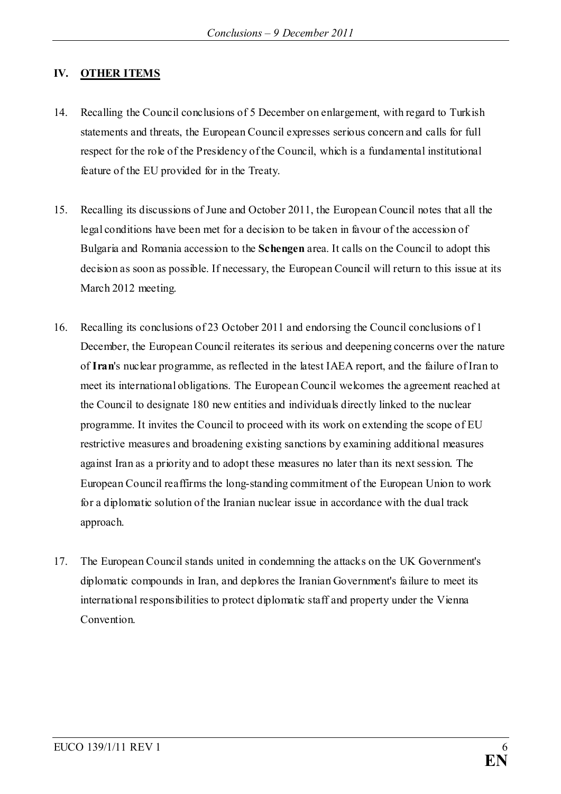## **IV. OTHER ITEMS**

- 14. Recalling the Council conclusions of 5 December on enlargement, with regard to Turkish statements and threats, the European Council expresses serious concern and calls for full respect for the role of the Presidency of the Council, which is a fundamental institutional feature of the EU provided for in the Treaty.
- 15. Recalling its discussions of June and October 2011, the European Council notes that all the legal conditions have been met for a decision to be taken in favour of the accession of Bulgaria and Romania accession to the **Schengen** area. It calls on the Council to adopt this decision as soon as possible. If necessary, the European Council will return to this issue at its March 2012 meeting.
- 16. Recalling its conclusions of 23 October 2011 and endorsing the Council conclusions of 1 December, the European Council reiterates its serious and deepening concerns over the nature of **Iran**'s nuclear programme, as reflected in the latest IAEA report, and the failure of Iran to meet its international obligations. The European Council welcomes the agreement reached at the Council to designate 180 new entities and individuals directly linked to the nuclear programme. It invites the Council to proceed with its work on extending the scope of EU restrictive measures and broadening existing sanctions by examining additional measures against Iran as a priority and to adopt these measures no later than its next session. The European Council reaffirms the long-standing commitment of the European Union to work for a diplomatic solution of the Iranian nuclear issue in accordance with the dual track approach.
- 17. The European Council stands united in condemning the attacks on the UK Government's diplomatic compounds in Iran, and deplores the Iranian Government's failure to meet its international responsibilities to protect diplomatic staff and property under the Vienna Convention.